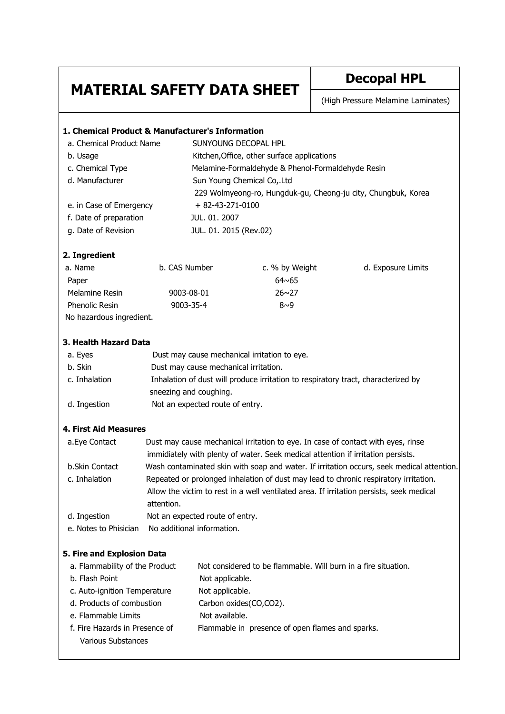## **MATERIAL SAFETY DATA SHEET** Decopal HPL

(High Pressure Melamine Laminates)

| 1. Chemical Product & Manufacturer's Information                                                   |                                                                                           |                                                                                          |                |                    |  |
|----------------------------------------------------------------------------------------------------|-------------------------------------------------------------------------------------------|------------------------------------------------------------------------------------------|----------------|--------------------|--|
| a. Chemical Product Name                                                                           |                                                                                           | SUNYOUNG DECOPAL HPL                                                                     |                |                    |  |
| b. Usage                                                                                           |                                                                                           | Kitchen, Office, other surface applications                                              |                |                    |  |
| c. Chemical Type                                                                                   |                                                                                           | Melamine-Formaldehyde & Phenol-Formaldehyde Resin                                        |                |                    |  |
| d. Manufacturer                                                                                    |                                                                                           | Sun Young Chemical Co,.Ltd                                                               |                |                    |  |
|                                                                                                    |                                                                                           | 229 Wolmyeong-ro, Hungduk-gu, Cheong-ju city, Chungbuk, Korea                            |                |                    |  |
| e. in Case of Emergency                                                                            |                                                                                           | $+82-43-271-0100$                                                                        |                |                    |  |
| f. Date of preparation                                                                             |                                                                                           | JUL. 01. 2007                                                                            |                |                    |  |
| g. Date of Revision                                                                                |                                                                                           | JUL. 01. 2015 (Rev.02)                                                                   |                |                    |  |
| 2. Ingredient                                                                                      |                                                                                           |                                                                                          |                |                    |  |
| a. Name                                                                                            | b. CAS Number                                                                             |                                                                                          | c. % by Weight | d. Exposure Limits |  |
| Paper                                                                                              |                                                                                           |                                                                                          | $64 \times 65$ |                    |  |
| Melamine Resin                                                                                     | 9003-08-01                                                                                |                                                                                          | $26 \sim 27$   |                    |  |
| Phenolic Resin                                                                                     | 9003-35-4                                                                                 |                                                                                          | $8\sim9$       |                    |  |
| No hazardous ingredient.                                                                           |                                                                                           |                                                                                          |                |                    |  |
|                                                                                                    |                                                                                           |                                                                                          |                |                    |  |
| 3. Health Hazard Data                                                                              |                                                                                           |                                                                                          |                |                    |  |
| a. Eyes                                                                                            | Dust may cause mechanical irritation to eye.                                              |                                                                                          |                |                    |  |
| b. Skin                                                                                            | Dust may cause mechanical irritation.                                                     |                                                                                          |                |                    |  |
| c. Inhalation<br>Inhalation of dust will produce irritation to respiratory tract, characterized by |                                                                                           |                                                                                          |                |                    |  |
|                                                                                                    |                                                                                           | sneezing and coughing.                                                                   |                |                    |  |
| d. Ingestion                                                                                       | Not an expected route of entry.                                                           |                                                                                          |                |                    |  |
| <b>4. First Aid Measures</b>                                                                       |                                                                                           |                                                                                          |                |                    |  |
| a.Eye Contact                                                                                      | Dust may cause mechanical irritation to eye. In case of contact with eyes, rinse          |                                                                                          |                |                    |  |
|                                                                                                    | immidiately with plenty of water. Seek medical attention if irritation persists.          |                                                                                          |                |                    |  |
| b.Skin Contact                                                                                     | Wash contaminated skin with soap and water. If irritation occurs, seek medical attention. |                                                                                          |                |                    |  |
| c. Inhalation                                                                                      | Repeated or prolonged inhalation of dust may lead to chronic respiratory irritation.      |                                                                                          |                |                    |  |
|                                                                                                    |                                                                                           | Allow the victim to rest in a well ventilated area. If irritation persists, seek medical |                |                    |  |
|                                                                                                    | attention.                                                                                |                                                                                          |                |                    |  |
| d. Ingestion                                                                                       | Not an expected route of entry.                                                           |                                                                                          |                |                    |  |
| e. Notes to Phisician                                                                              | No additional information.                                                                |                                                                                          |                |                    |  |
| 5. Fire and Explosion Data                                                                         |                                                                                           |                                                                                          |                |                    |  |
| a. Flammability of the Product                                                                     |                                                                                           | Not considered to be flammable. Will burn in a fire situation.                           |                |                    |  |
| b. Flash Point                                                                                     |                                                                                           | Not applicable.                                                                          |                |                    |  |
| c. Auto-ignition Temperature                                                                       |                                                                                           | Not applicable.                                                                          |                |                    |  |
| d. Products of combustion                                                                          |                                                                                           | Carbon oxides(CO,CO2).                                                                   |                |                    |  |
| e. Flammable Limits                                                                                |                                                                                           | Not available.                                                                           |                |                    |  |
| f. Fire Hazards in Presence of                                                                     |                                                                                           | Flammable in presence of open flames and sparks.                                         |                |                    |  |
| <b>Various Substances</b>                                                                          |                                                                                           |                                                                                          |                |                    |  |
|                                                                                                    |                                                                                           |                                                                                          |                |                    |  |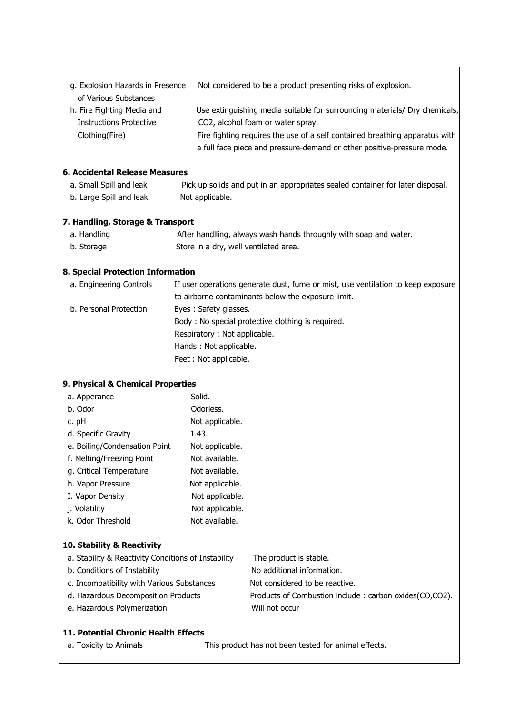| g. Explosion Hazards in Presence                                                                        |                                                                                  | Not considered to be a product presenting risks of explosion.                                                                                                                                                                                                            |  |  |  |
|---------------------------------------------------------------------------------------------------------|----------------------------------------------------------------------------------|--------------------------------------------------------------------------------------------------------------------------------------------------------------------------------------------------------------------------------------------------------------------------|--|--|--|
| of Various Substances<br>h. Fire Fighting Media and<br><b>Instructions Protective</b><br>Clothing(Fire) |                                                                                  | Use extinguishing media suitable for surrounding materials/ Dry chemicals,<br>CO2, alcohol foam or water spray.<br>Fire fighting requires the use of a self contained breathing apparatus with<br>a full face piece and pressure-demand or other positive-pressure mode. |  |  |  |
| 6. Accidental Release Measures                                                                          |                                                                                  |                                                                                                                                                                                                                                                                          |  |  |  |
| a. Small Spill and leak                                                                                 |                                                                                  | Pick up solids and put in an appropriates sealed container for later disposal.                                                                                                                                                                                           |  |  |  |
| b. Large Spill and leak                                                                                 | Not applicable.                                                                  |                                                                                                                                                                                                                                                                          |  |  |  |
| 7. Handling, Storage & Transport                                                                        |                                                                                  |                                                                                                                                                                                                                                                                          |  |  |  |
| a. Handling                                                                                             |                                                                                  | After handlling, always wash hands throughly with soap and water.                                                                                                                                                                                                        |  |  |  |
| b. Storage                                                                                              |                                                                                  | Store in a dry, well ventilated area.                                                                                                                                                                                                                                    |  |  |  |
| 8. Special Protection Information                                                                       |                                                                                  |                                                                                                                                                                                                                                                                          |  |  |  |
| a. Engineering Controls                                                                                 | If user operations generate dust, fume or mist, use ventilation to keep exposure |                                                                                                                                                                                                                                                                          |  |  |  |
|                                                                                                         |                                                                                  | to airborne contaminants below the exposure limit.                                                                                                                                                                                                                       |  |  |  |
| b. Personal Protection                                                                                  | Eyes: Safety glasses.                                                            |                                                                                                                                                                                                                                                                          |  |  |  |
|                                                                                                         |                                                                                  | Body: No special protective clothing is required.                                                                                                                                                                                                                        |  |  |  |
|                                                                                                         | Respiratory: Not applicable.                                                     |                                                                                                                                                                                                                                                                          |  |  |  |
|                                                                                                         | Hands: Not applicable.                                                           |                                                                                                                                                                                                                                                                          |  |  |  |
|                                                                                                         | Feet: Not applicable.                                                            |                                                                                                                                                                                                                                                                          |  |  |  |
| 9. Physical & Chemical Properties                                                                       |                                                                                  |                                                                                                                                                                                                                                                                          |  |  |  |
| a. Apperance                                                                                            | Solid.                                                                           |                                                                                                                                                                                                                                                                          |  |  |  |
| b. Odor                                                                                                 | Odorless.                                                                        |                                                                                                                                                                                                                                                                          |  |  |  |
| c. pH                                                                                                   | Not applicable.                                                                  |                                                                                                                                                                                                                                                                          |  |  |  |
| d. Specific Gravity                                                                                     | 1.43.                                                                            |                                                                                                                                                                                                                                                                          |  |  |  |
| e. Boiling/Condensation Point                                                                           | Not applicable.                                                                  |                                                                                                                                                                                                                                                                          |  |  |  |
| f. Melting/Freezing Point                                                                               | Not available.                                                                   |                                                                                                                                                                                                                                                                          |  |  |  |
| g. Critical Temperature                                                                                 | Not available.                                                                   |                                                                                                                                                                                                                                                                          |  |  |  |
| h. Vapor Pressure                                                                                       | Not applicable.                                                                  |                                                                                                                                                                                                                                                                          |  |  |  |
| I. Vapor Density                                                                                        | Not applicable.                                                                  |                                                                                                                                                                                                                                                                          |  |  |  |
| j. Volatility                                                                                           | Not applicable.                                                                  |                                                                                                                                                                                                                                                                          |  |  |  |
| k. Odor Threshold                                                                                       | Not available.                                                                   |                                                                                                                                                                                                                                                                          |  |  |  |
| 10. Stability & Reactivity                                                                              |                                                                                  |                                                                                                                                                                                                                                                                          |  |  |  |
| a. Stability & Reactivity Conditions of Instability                                                     |                                                                                  | The product is stable.                                                                                                                                                                                                                                                   |  |  |  |
| b. Conditions of Instability                                                                            |                                                                                  | No additional information.                                                                                                                                                                                                                                               |  |  |  |
| c. Incompatibility with Various Substances                                                              |                                                                                  | Not considered to be reactive.                                                                                                                                                                                                                                           |  |  |  |
| d. Hazardous Decomposition Products                                                                     |                                                                                  | Products of Combustion include: carbon oxides(CO,CO2).                                                                                                                                                                                                                   |  |  |  |
| e. Hazardous Polymerization                                                                             |                                                                                  | Will not occur                                                                                                                                                                                                                                                           |  |  |  |
| 11. Potential Chronic Health Effects                                                                    |                                                                                  |                                                                                                                                                                                                                                                                          |  |  |  |
| a. Toxicity to Animals                                                                                  |                                                                                  | This product has not been tested for animal effects.                                                                                                                                                                                                                     |  |  |  |